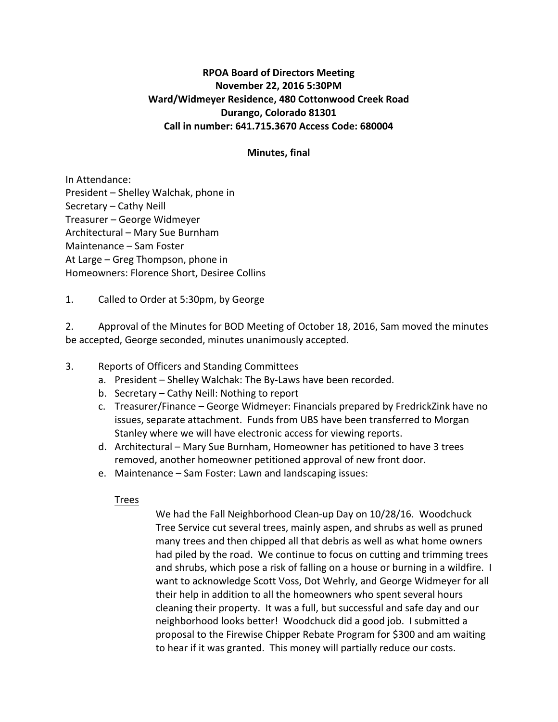## **RPOA Board of Directors Meeting November 22, 2016 5:30PM Ward/Widmeyer Residence, 480 Cottonwood Creek Road Durango, Colorado 81301 Call in number: 641.715.3670 Access Code: 680004**

### **Minutes, final**

In Attendance: President - Shelley Walchak, phone in Secretary - Cathy Neill Treasurer – George Widmeyer Architectural – Mary Sue Burnham Maintenance - Sam Foster At Large – Greg Thompson, phone in Homeowners: Florence Short, Desiree Collins

1. Called to Order at 5:30pm, by George

2. Approval of the Minutes for BOD Meeting of October 18, 2016, Sam moved the minutes be accepted, George seconded, minutes unanimously accepted.

### 3. Reports of Officers and Standing Committees

- a. President Shelley Walchak: The By-Laws have been recorded.
- b. Secretary Cathy Neill: Nothing to report
- c. Treasurer/Finance George Widmeyer: Financials prepared by FredrickZink have no issues, separate attachment. Funds from UBS have been transferred to Morgan Stanley where we will have electronic access for viewing reports.
- d. Architectural Mary Sue Burnham, Homeowner has petitioned to have 3 trees removed, another homeowner petitioned approval of new front door.
- e. Maintenance Sam Foster: Lawn and landscaping issues:

#### Trees

We had the Fall Neighborhood Clean-up Day on 10/28/16. Woodchuck Tree Service cut several trees, mainly aspen, and shrubs as well as pruned many trees and then chipped all that debris as well as what home owners had piled by the road. We continue to focus on cutting and trimming trees and shrubs, which pose a risk of falling on a house or burning in a wildfire. I want to acknowledge Scott Voss, Dot Wehrly, and George Widmeyer for all their help in addition to all the homeowners who spent several hours cleaning their property. It was a full, but successful and safe day and our neighborhood looks better! Woodchuck did a good job. I submitted a proposal to the Firewise Chipper Rebate Program for \$300 and am waiting to hear if it was granted. This money will partially reduce our costs.